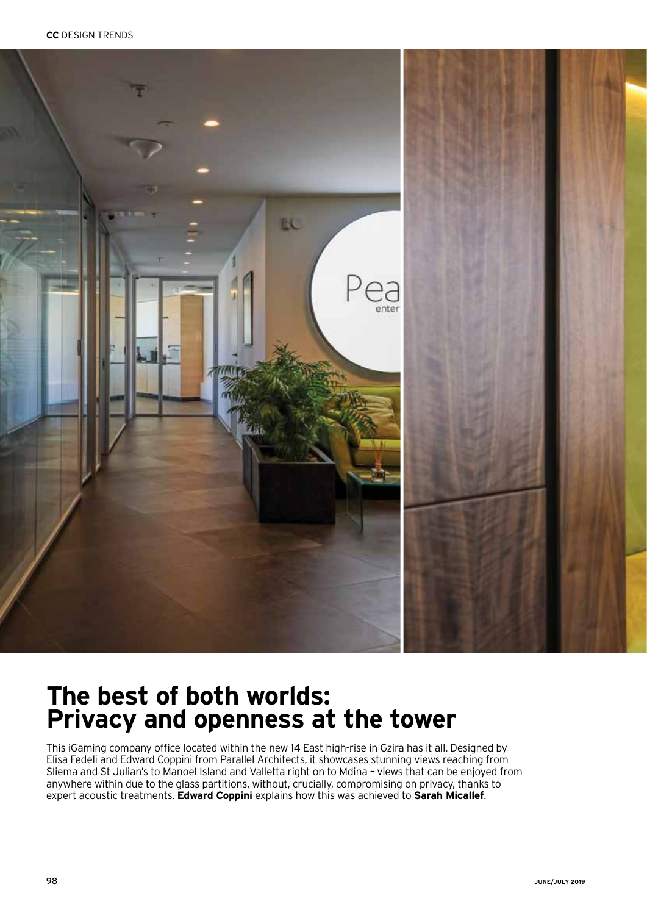

## **The best of both worlds: Privacy and openness at the tower**

This iGaming company office located within the new 14 East high-rise in Gzira has it all. Designed by Elisa Fedeli and Edward Coppini from Parallel Architects, it showcases stunning views reaching from Sliema and St Julian's to Manoel Island and Valletta right on to Mdina – views that can be enjoyed from anywhere within due to the glass partitions, without, crucially, compromising on privacy, thanks to expert acoustic treatments. **Edward Coppini** explains how this was achieved to **Sarah Micallef**.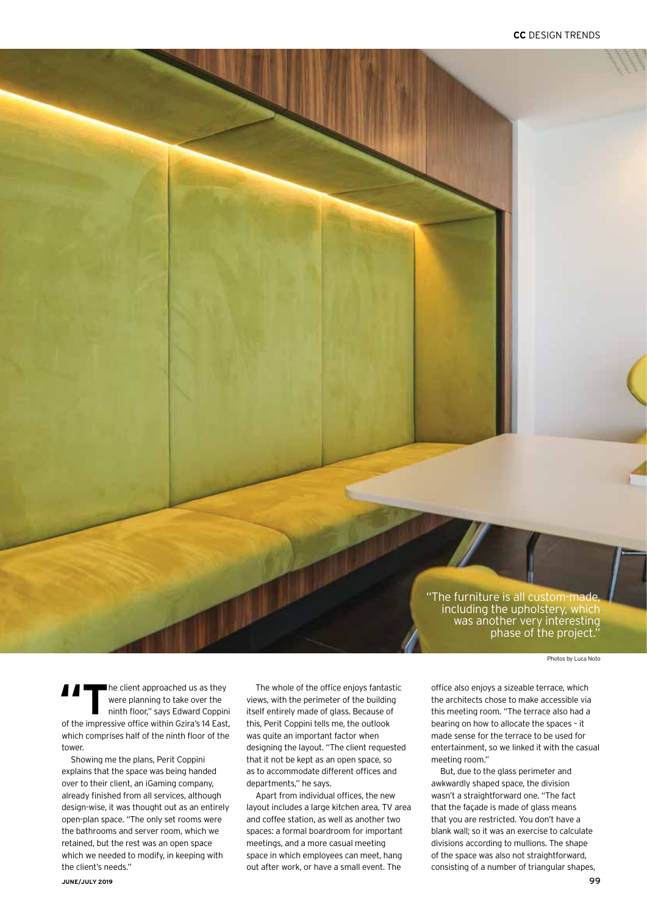"The furniture is all custom-made, including the upholstery, which was another very interesting phase of the project."

Photos by Luca Noto

**The client approached us as they**<br>were planning to take over the<br>ninth floor," says Edward Coppin were planning to take over the ninth floor," says Edward Coppini of the impressive office within Gzira's 14 East, which comprises half of the ninth floor of the tower.

Showing me the plans, Perit Coppini explains that the space was being handed over to their client, an iGaming company, already finished from all services, although design-wise, it was thought out as an entirely open-plan space. "The only set rooms were the bathrooms and server room, which we retained, but the rest was an open space which we needed to modify, in keeping with the client's needs."

The whole of the office enjoys fantastic views, with the perimeter of the building itself entirely made of glass. Because of this, Perit Coppini tells me, the outlook was quite an important factor when designing the layout. "The client requested that it not be kept as an open space, so as to accommodate different offices and departments," he says.

Apart from individual offices, the new layout includes a large kitchen area, TV area and coffee station, as well as another two spaces: a formal boardroom for important meetings, and a more casual meeting space in which employees can meet, hang out after work, or have a small event. The

office also enjoys a sizeable terrace, which the architects chose to make accessible via this meeting room. "The terrace also had a bearing on how to allocate the spaces – it made sense for the terrace to be used for entertainment, so we linked it with the casual meeting room."

But, due to the glass perimeter and awkwardly shaped space, the division wasn't a straightforward one. "The fact that the façade is made of glass means that you are restricted. You don't have a blank wall; so it was an exercise to calculate divisions according to mullions. The shape of the space was also not straightforward, consisting of a number of triangular shapes,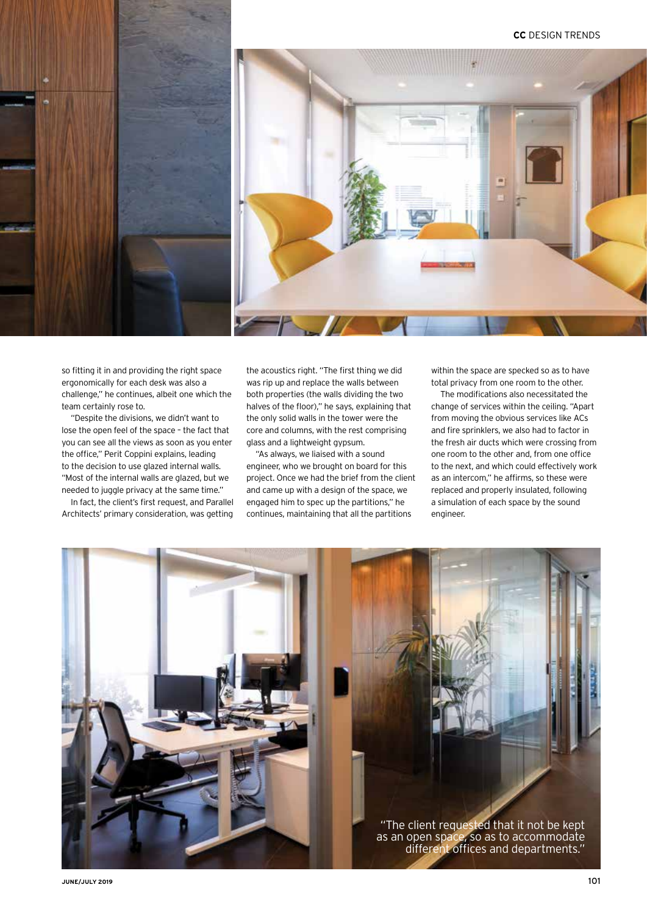## **CC** DESIGN TRENDS





so fitting it in and providing the right space ergonomically for each desk was also a challenge," he continues, albeit one which the team certainly rose to.

"Despite the divisions, we didn't want to lose the open feel of the space – the fact that you can see all the views as soon as you enter the office," Perit Coppini explains, leading to the decision to use glazed internal walls. "Most of the internal walls are glazed, but we needed to juggle privacy at the same time."

In fact, the client's first request, and Parallel Architects' primary consideration, was getting the acoustics right. "The first thing we did was rip up and replace the walls between both properties (the walls dividing the two halves of the floor)," he says, explaining that the only solid walls in the tower were the core and columns, with the rest comprising glass and a lightweight gypsum.

"As always, we liaised with a sound engineer, who we brought on board for this project. Once we had the brief from the client and came up with a design of the space, we engaged him to spec up the partitions," he continues, maintaining that all the partitions

within the space are specked so as to have total privacy from one room to the other.

The modifications also necessitated the change of services within the ceiling. "Apart from moving the obvious services like ACs and fire sprinklers, we also had to factor in the fresh air ducts which were crossing from one room to the other and, from one office to the next, and which could effectively work as an intercom," he affirms, so these were replaced and properly insulated, following a simulation of each space by the sound engineer.